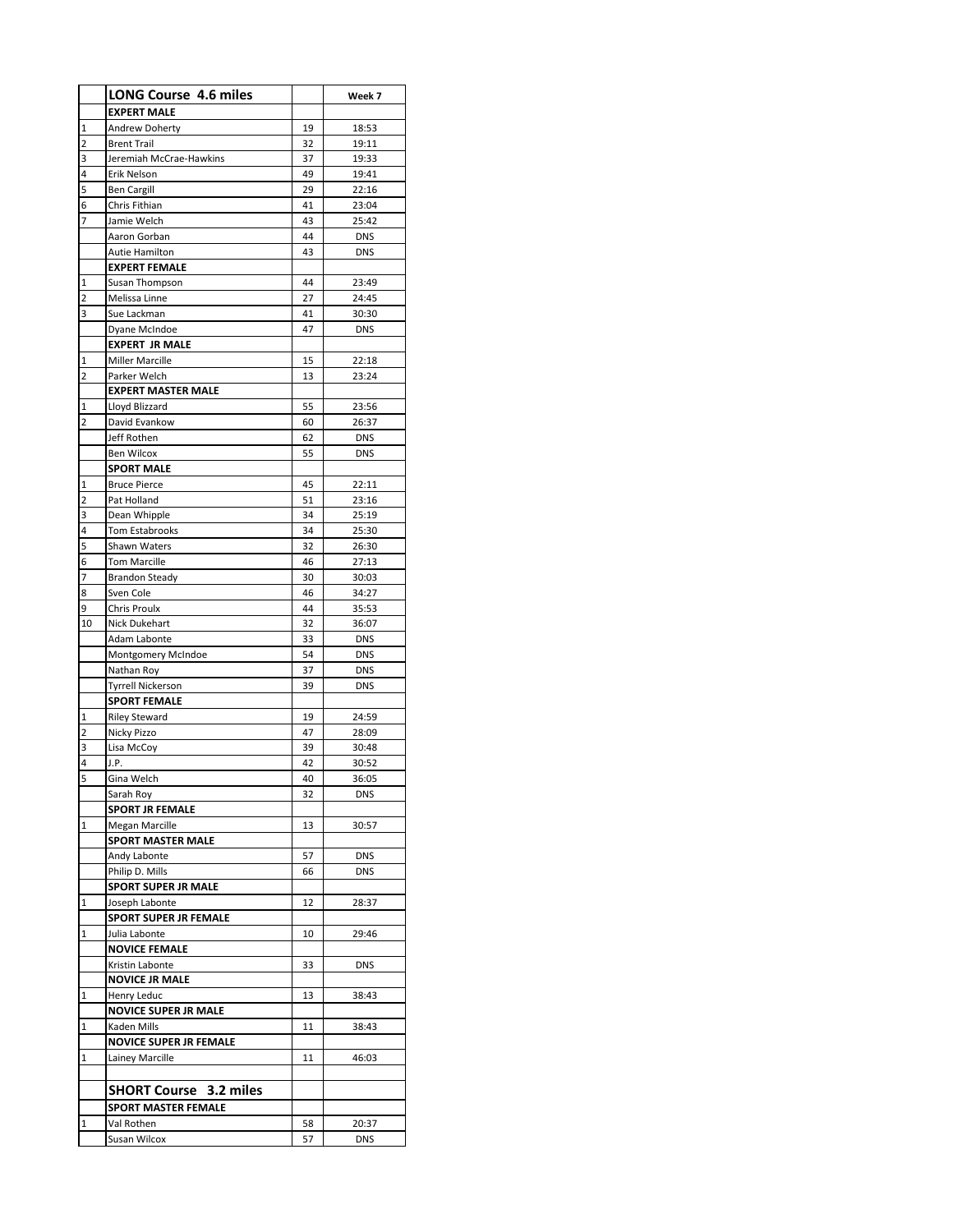|                | <b>LONG Course 4.6 miles</b>             |          | Week 7                   |
|----------------|------------------------------------------|----------|--------------------------|
|                | <b>EXPERT MALE</b>                       |          |                          |
| 1              | Andrew Doherty                           | 19       | 18:53                    |
| 2              | <b>Brent Trail</b>                       | 32       | 19:11                    |
| 3              | Jeremiah McCrae-Hawkins                  | 37       | 19:33                    |
| 4              | Erik Nelson                              | 49       | 19:41                    |
| 5              | <b>Ben Cargill</b>                       | 29       | 22:16                    |
| 6              | Chris Fithian                            | 41       | 23:04                    |
| 7              | Jamie Welch                              | 43       | 25:42                    |
|                | Aaron Gorban<br>Autie Hamilton           | 44<br>43 | <b>DNS</b><br><b>DNS</b> |
|                | <b>EXPERT FEMALE</b>                     |          |                          |
| 1              | Susan Thompson                           | 44       | 23:49                    |
| 2              | Melissa Linne                            | 27       | 24:45                    |
| 3              | Sue Lackman                              | 41       | 30:30                    |
|                | Dyane McIndoe                            | 47       | <b>DNS</b>               |
|                | <b>EXPERT JR MALE</b>                    |          |                          |
| $\mathbf 1$    | <b>Miller Marcille</b>                   | 15       | 22:18                    |
| 2              | Parker Welch                             | 13       | 23:24                    |
|                | <b>EXPERT MASTER MALE</b>                |          |                          |
| 1              | Lloyd Blizzard                           | 55       | 23:56                    |
| $\overline{2}$ | David Evankow                            | 60       | 26:37                    |
|                | Jeff Rothen                              | 62       | DNS                      |
|                | <b>Ben Wilcox</b>                        | 55       | <b>DNS</b>               |
| 1              | <b>SPORT MALE</b><br><b>Bruce Pierce</b> | 45       |                          |
| 2              | Pat Holland                              | 51       | 22:11<br>23:16           |
| 3              | Dean Whipple                             | 34       | 25:19                    |
| 4              | Tom Estabrooks                           | 34       | 25:30                    |
| 5              | Shawn Waters                             | 32       | 26:30                    |
| 6              | <b>Tom Marcille</b>                      | 46       | 27:13                    |
| 7              | <b>Brandon Steady</b>                    | 30       | 30:03                    |
| 8              | Sven Cole                                | 46       | 34:27                    |
| 9              | Chris Proulx                             | 44       | 35:53                    |
| 10             | Nick Dukehart                            | 32       | 36:07                    |
|                | Adam Labonte                             | 33       | <b>DNS</b>               |
|                | Montgomery McIndoe                       | 54       | <b>DNS</b>               |
|                | Nathan Roy                               | 37       | <b>DNS</b>               |
|                | <b>Tyrrell Nickerson</b>                 | 39       | <b>DNS</b>               |
|                | <b>SPORT FEMALE</b>                      | 19       | 24:59                    |
| 1<br>2         | <b>Riley Steward</b><br>Nicky Pizzo      | 47       | 28:09                    |
| 3              | Lisa McCoy                               | 39       | 30:48                    |
| 4              | J.P.                                     | 42       | 30:52                    |
| .<br>5         | Gina Welch                               | 40       | 36.05                    |
|                | Sarah Roy                                | 32       | <b>DNS</b>               |
|                | <b>SPORT JR FEMALE</b>                   |          |                          |
| 1              | Megan Marcille                           | 13       | 30:57                    |
|                | <b>SPORT MASTER MALE</b>                 |          |                          |
|                | Andy Labonte                             | 57       | <b>DNS</b>               |
|                | Philip D. Mills                          | 66       | <b>DNS</b>               |
|                | <b>SPORT SUPER JR MALE</b>               |          |                          |
| 1              | Joseph Labonte                           | 12       | 28:37                    |
|                | <b>SPORT SUPER JR FEMALE</b>             |          |                          |
| 1              | Julia Labonte<br><b>NOVICE FEMALE</b>    | 10       | 29:46                    |
|                | Kristin Labonte                          | 33       | DNS                      |
|                | <b>NOVICE JR MALE</b>                    |          |                          |
| 1              | Henry Leduc                              | 13       | 38:43                    |
|                | <b>NOVICE SUPER JR MALE</b>              |          |                          |
| 1              | Kaden Mills                              | 11       | 38:43                    |
|                | <b>NOVICE SUPER JR FEMALE</b>            |          |                          |
| 1              | Lainey Marcille                          | 11       | 46:03                    |
|                |                                          |          |                          |
|                | <b>SHORT Course 3.2 miles</b>            |          |                          |
|                | <b>SPORT MASTER FEMALE</b>               |          |                          |
| 1              | Val Rothen                               | 58       | 20:37                    |
|                | Susan Wilcox                             | 57       | DNS                      |